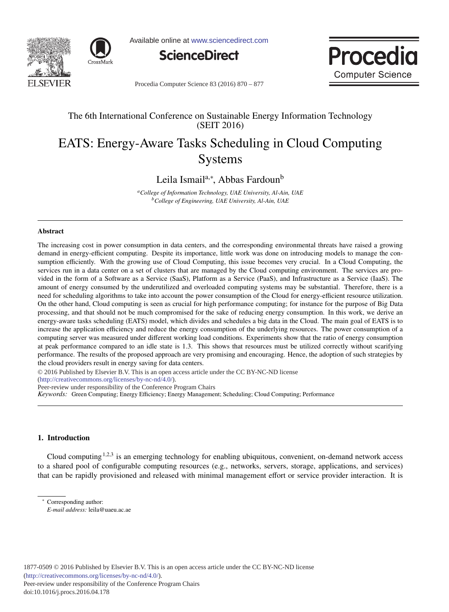



Available online at www.sciencedirect.com





Procedia Computer Science 83 (2016) 870 - 877

# The 6th International Conference on Sustainable Energy Information Technology (SEIT 2016)

# EATS: Energy-Aware Tasks Scheduling in Cloud Computing Systems

Leila Ismail<sup>a,∗</sup>, Abbas Fardoun<sup>b</sup>

*aCollege of Information Technology, UAE University, Al-Ain, UAE bCollege of Engineering, UAE University, Al-Ain, UAE*

## Abstract

The increasing cost in power consumption in data centers, and the corresponding environmental threats have raised a growing demand in energy-efficient computing. Despite its importance, little work was done on introducing models to manage the consumption efficiently. With the growing use of Cloud Computing, this issue becomes very crucial. In a Cloud Computing, the services run in a data center on a set of clusters that are managed by the Cloud computing environment. The services are provided in the form of a Software as a Service (SaaS), Platform as a Service (PaaS), and Infrastructure as a Service (IaaS). The amount of energy consumed by the underutilized and overloaded computing systems may be substantial. Therefore, there is a need for scheduling algorithms to take into account the power consumption of the Cloud for energy-efficient resource utilization. On the other hand, Cloud computing is seen as crucial for high performance computing; for instance for the purpose of Big Data processing, and that should not be much compromised for the sake of reducing energy consumption. In this work, we derive an energy-aware tasks scheduling (EATS) model, which divides and schedules a big data in the Cloud. The main goal of EATS is to increase the application efficiency and reduce the energy consumption of the underlying resources. The power consumption of a computing server was measured under different working load conditions. Experiments show that the ratio of energy consumption at peak performance compared to an idle state is 1.3. This shows that resources must be utilized correctly without scarifying performance. The results of the proposed approach are very promising and encouraging. Hence, the adoption of such strategies by the cloud providers result in energy saving for data centers.

© 2016 Published by Elsevier B.V. This is an open access article under the CC BY-NC-ND license

(http://creativecommons.org/licenses/by-nc-nd/4.0/).

Peer-review under responsibility of the Conference Program Chairs

*Keywords:* Green Computing; Energy Efficiency; Energy Management; Scheduling; Cloud Computing; Performance

# 1. Introduction

Cloud computing<sup>1,2,3</sup> is an emerging technology for enabling ubiquitous, convenient, on-demand network access to a shared pool of configurable computing resources (e.g., networks, servers, storage, applications, and services) that can be rapidly provisioned and released with minimal management effort or service provider interaction. It is

Corresponding author:

*E-mail address:* leila@uaeu.ac.ae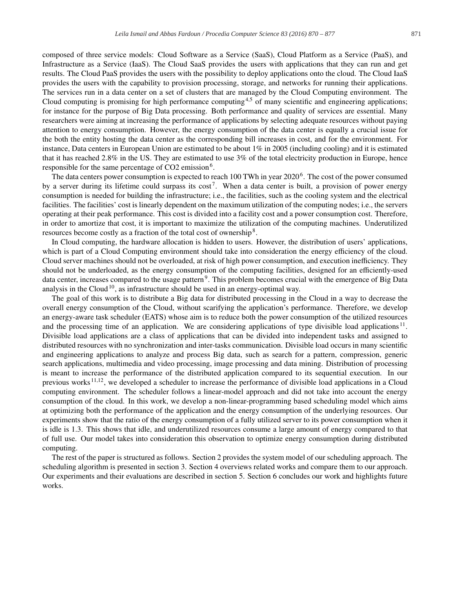composed of three service models: Cloud Software as a Service (SaaS), Cloud Platform as a Service (PaaS), and Infrastructure as a Service (IaaS). The Cloud SaaS provides the users with applications that they can run and get results. The Cloud PaaS provides the users with the possibility to deploy applications onto the cloud. The Cloud IaaS provides the users with the capability to provision processing, storage, and networks for running their applications. The services run in a data center on a set of clusters that are managed by the Cloud Computing environment. The Cloud computing is promising for high performance computing<sup>4,5</sup> of many scientific and engineering applications; for instance for the purpose of Big Data processing. Both performance and quality of services are essential. Many researchers were aiming at increasing the performance of applications by selecting adequate resources without paying attention to energy consumption. However, the energy consumption of the data center is equally a crucial issue for the both the entity hosting the data center as the corresponding bill increases in cost, and for the environment. For instance, Data centers in European Union are estimated to be about 1% in 2005 (including cooling) and it is estimated that it has reached 2.8% in the US. They are estimated to use 3% of the total electricity production in Europe, hence responsible for the same percentage of  $CO2$  emission<sup>6</sup>.

The data centers power consumption is expected to reach 100 TWh in year 2020<sup>6</sup>. The cost of the power consumed by a server during its lifetime could surpass its  $\cos^7$ . When a data center is built, a provision of power energy consumption is needed for building the infrastructure; i.e., the facilities, such as the cooling system and the electrical facilities. The facilities' cost is linearly dependent on the maximum utilization of the computing nodes; i.e., the servers operating at their peak performance. This cost is divided into a facility cost and a power consumption cost. Therefore, in order to amortize that cost, it is important to maximize the utilization of the computing machines. Underutilized resources become costly as a fraction of the total cost of ownership<sup>8</sup>.

In Cloud computing, the hardware allocation is hidden to users. However, the distribution of users' applications, which is part of a Cloud Computing environment should take into consideration the energy efficiency of the cloud. Cloud server machines should not be overloaded, at risk of high power consumption, and execution inefficiency. They should not be underloaded, as the energy consumption of the computing facilities, designed for an efficiently-used data center, increases compared to the usage pattern<sup>9</sup>. This problem becomes crucial with the emergence of Big Data analysis in the Cloud<sup>10</sup>, as infrastructure should be used in an energy-optimal way.

The goal of this work is to distribute a Big data for distributed processing in the Cloud in a way to decrease the overall energy consumption of the Cloud, without scarifying the application's performance. Therefore, we develop an energy-aware task scheduler (EATS) whose aim is to reduce both the power consumption of the utilized resources and the processing time of an application. We are considering applications of type divisible load applications  $11$ . Divisible load applications are a class of applications that can be divided into independent tasks and assigned to distributed resources with no synchronization and inter-tasks communication. Divisible load occurs in many scientific and engineering applications to analyze and process Big data, such as search for a pattern, compression, generic search applications, multimedia and video processing, image processing and data mining. Distribution of processing is meant to increase the performance of the distributed application compared to its sequential execution. In our previous works 11,12, we developed a scheduler to increase the performance of divisible load applications in a Cloud computing environment. The scheduler follows a linear-model approach and did not take into account the energy consumption of the cloud. In this work, we develop a non-linear-programming based scheduling model which aims at optimizing both the performance of the application and the energy consumption of the underlying resources. Our experiments show that the ratio of the energy consumption of a fully utilized server to its power consumption when it is idle is 1.3. This shows that idle, and underutilized resources consume a large amount of energy compared to that of full use. Our model takes into consideration this observation to optimize energy consumption during distributed computing.

The rest of the paper is structured as follows. Section 2 provides the system model of our scheduling approach. The scheduling algorithm is presented in section 3. Section 4 overviews related works and compare them to our approach. Our experiments and their evaluations are described in section 5. Section 6 concludes our work and highlights future works.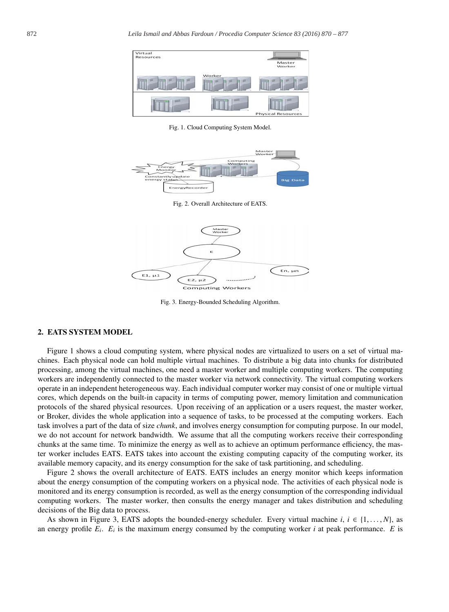

Fig. 1. Cloud Computing System Model.



Fig. 2. Overall Architecture of EATS.



Fig. 3. Energy-Bounded Scheduling Algorithm.

# 2. EATS SYSTEM MODEL

Figure 1 shows a cloud computing system, where physical nodes are virtualized to users on a set of virtual machines. Each physical node can hold multiple virtual machines. To distribute a big data into chunks for distributed processing, among the virtual machines, one need a master worker and multiple computing workers. The computing workers are independently connected to the master worker via network connectivity. The virtual computing workers operate in an independent heterogeneous way. Each individual computer worker may consist of one or multiple virtual cores, which depends on the built-in capacity in terms of computing power, memory limitation and communication protocols of the shared physical resources. Upon receiving of an application or a users request, the master worker, or Broker, divides the whole application into a sequence of tasks, to be processed at the computing workers. Each task involves a part of the data of size *chunk*, and involves energy consumption for computing purpose. In our model, we do not account for network bandwidth. We assume that all the computing workers receive their corresponding chunks at the same time. To minimize the energy as well as to achieve an optimum performance efficiency, the master worker includes EATS. EATS takes into account the existing computing capacity of the computing worker, its available memory capacity, and its energy consumption for the sake of task partitioning, and scheduling.

Figure 2 shows the overall architecture of EATS. EATS includes an energy monitor which keeps information about the energy consumption of the computing workers on a physical node. The activities of each physical node is monitored and its energy consumption is recorded, as well as the energy consumption of the corresponding individual computing workers. The master worker, then consults the energy manager and takes distribution and scheduling decisions of the Big data to process.

As shown in Figure 3, EATS adopts the bounded-energy scheduler. Every virtual machine  $i, i \in \{1, \ldots, N\}$ , as an energy profile  $E_i$ .  $E_i$  is the maximum energy consumed by the computing worker  $i$  at peak performance.  $E$  is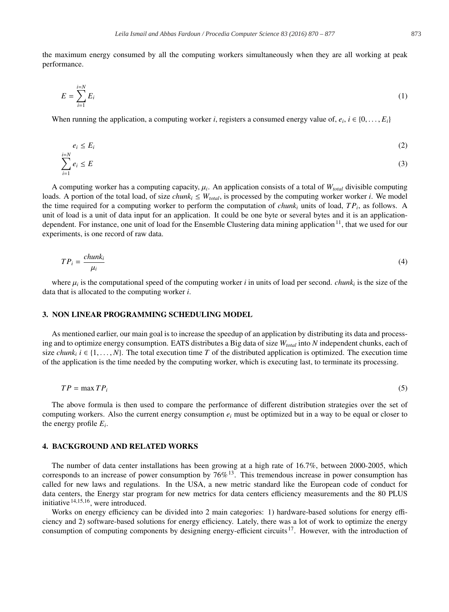the maximum energy consumed by all the computing workers simultaneously when they are all working at peak performance.

$$
E = \sum_{i=1}^{i=N} E_i \tag{1}
$$

When running the application, a computing worker *i*, registers a consumed energy value of,  $e_i$ ,  $i \in \{0, \ldots, E_i\}$ 

$$
e_i \le E_i
$$
  
\n
$$
\sum_{i=N}^{i=N} e_i \le E
$$
 (2)

$$
\sum_{i=1}^{n} \frac{1}{i}
$$

A computing worker has a computing capacity, μ*i*. An application consists of a total of *Wtotal* divisible computing loads. A portion of the total load, of size *chunk<sub>i</sub>*  $\leq W_{total}$ , is processed by the computing worker worker *i*. We model the time required for a computing worker to perform the computation of *chunki* units of load, *T Pi*, as follows. A unit of load is a unit of data input for an application. It could be one byte or several bytes and it is an applicationdependent. For instance, one unit of load for the Ensemble Clustering data mining application<sup>11</sup>, that we used for our experiments, is one record of raw data.

$$
TP_i = \frac{chunk_i}{\mu_i} \tag{4}
$$

where  $\mu_i$  is the computational speed of the computing worker *i* in units of load per second. *chunk<sub>i</sub>* is the size of the data that is allocated to the computing worker *i*.

# 3. NON LINEAR PROGRAMMING SCHEDULING MODEL

As mentioned earlier, our main goal is to increase the speedup of an application by distributing its data and processing and to optimize energy consumption. EATS distributes a Big data of size *Wtotal* into *N* independent chunks, each of size *chunk<sub>i</sub>*  $i \in \{1, \ldots, N\}$ . The total execution time *T* of the distributed application is optimized. The execution time of the application is the time needed by the computing worker, which is executing last, to terminate its processing.

$$
TP = \max TP_i \tag{5}
$$

The above formula is then used to compare the performance of different distribution strategies over the set of computing workers. Also the current energy consumption *ei* must be optimized but in a way to be equal or closer to the energy profile *Ei*.

# 4. BACKGROUND AND RELATED WORKS

The number of data center installations has been growing at a high rate of 16.7%, between 2000-2005, which corresponds to an increase of power consumption by  $76\%$ <sup>13</sup>. This tremendous increase in power consumption has called for new laws and regulations. In the USA, a new metric standard like the European code of conduct for data centers, the Energy star program for new metrics for data centers efficiency measurements and the 80 PLUS initiative 14,15,16, were introduced.

Works on energy efficiency can be divided into 2 main categories: 1) hardware-based solutions for energy efficiency and 2) software-based solutions for energy efficiency. Lately, there was a lot of work to optimize the energy consumption of computing components by designing energy-efficient circuits <sup>17</sup>. However, with the introduction of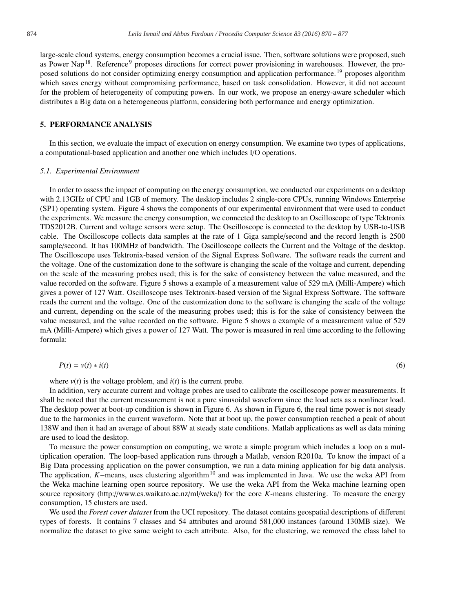large-scale cloud systems, energy consumption becomes a crucial issue. Then, software solutions were proposed, such as Power Nap<sup>18</sup>. Reference<sup>9</sup> proposes directions for correct power provisioning in warehouses. However, the proposed solutions do not consider optimizing energy consumption and application performance. <sup>19</sup> proposes algorithm which saves energy without compromising performance, based on task consolidation. However, it did not account for the problem of heterogeneity of computing powers. In our work, we propose an energy-aware scheduler which distributes a Big data on a heterogeneous platform, considering both performance and energy optimization.

# 5. PERFORMANCE ANALYSIS

In this section, we evaluate the impact of execution on energy consumption. We examine two types of applications, a computational-based application and another one which includes I/O operations.

### *5.1. Experimental Environment*

In order to assess the impact of computing on the energy consumption, we conducted our experiments on a desktop with 2.13GHz of CPU and 1GB of memory. The desktop includes 2 single-core CPUs, running Windows Enterprise (SP1) operating system. Figure 4 shows the components of our experimental environment that were used to conduct the experiments. We measure the energy consumption, we connected the desktop to an Oscilloscope of type Tektronix TDS2012B. Current and voltage sensors were setup. The Oscilloscope is connected to the desktop by USB-to-USB cable. The Oscilloscope collects data samples at the rate of 1 Giga sample/second and the record length is 2500 sample/second. It has 100MHz of bandwidth. The Oscilloscope collects the Current and the Voltage of the desktop. The Oscilloscope uses Tektronix-based version of the Signal Express Software. The software reads the current and the voltage. One of the customization done to the software is changing the scale of the voltage and current, depending on the scale of the measuring probes used; this is for the sake of consistency between the value measured, and the value recorded on the software. Figure 5 shows a example of a measurement value of 529 mA (Milli-Ampere) which gives a power of 127 Watt. Oscilloscope uses Tektronix-based version of the Signal Express Software. The software reads the current and the voltage. One of the customization done to the software is changing the scale of the voltage and current, depending on the scale of the measuring probes used; this is for the sake of consistency between the value measured, and the value recorded on the software. Figure 5 shows a example of a measurement value of 529 mA (Milli-Ampere) which gives a power of 127 Watt. The power is measured in real time according to the following formula:

$$
P(t) = v(t) * i(t) \tag{6}
$$

where  $v(t)$  is the voltage problem, and  $i(t)$  is the current probe.

In addition, very accurate current and voltage probes are used to calibrate the oscilloscope power measurements. It shall be noted that the current measurement is not a pure sinusoidal waveform since the load acts as a nonlinear load. The desktop power at boot-up condition is shown in Figure 6. As shown in Figure 6, the real time power is not steady due to the harmonics in the current waveform. Note that at boot up, the power consumption reached a peak of about 138W and then it had an average of about 88W at steady state conditions. Matlab applications as well as data mining are used to load the desktop.

To measure the power consumption on computing, we wrote a simple program which includes a loop on a multiplication operation. The loop-based application runs through a Matlab, version R2010a. To know the impact of a Big Data processing application on the power consumption, we run a data mining application for big data analysis. The application, *K*−means, uses clustering algorithm<sup>10</sup> and was implemented in Java. We use the weka API from the Weka machine learning open source repository. We use the weka API from the Weka machine learning open source repository (http://www.cs.waikato.ac.nz/ml/weka/) for the core *K*-means clustering. To measure the energy consumption, 15 clusters are used.

We used the *Forest cover dataset* from the UCI repository. The dataset contains geospatial descriptions of different types of forests. It contains 7 classes and 54 attributes and around 581,000 instances (around 130MB size). We normalize the dataset to give same weight to each attribute. Also, for the clustering, we removed the class label to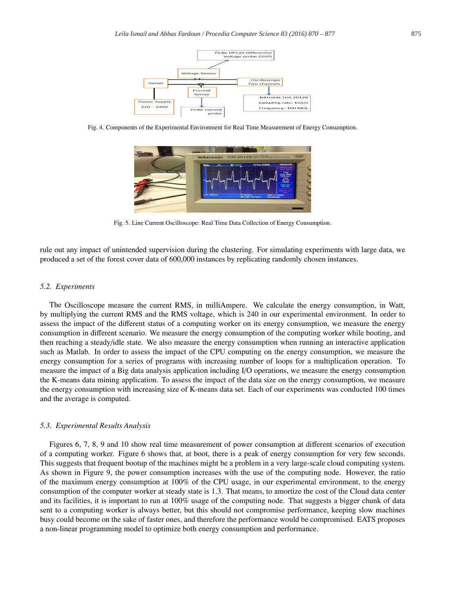

Fig. 4. Components of the Experimental Environment for Real Time Measurement of Energy Consumption.



Fig. 5. Line Current Oscilloscope: Real Time Data Collection of Energy Consumption.

rule out any impact of unintended supervision during the clustering. For simulating experiments with large data, we produced a set of the forest cover data of 600,000 instances by replicating randomly chosen instances.

### *5.2. Experiments*

The Oscilloscope measure the current RMS, in milliAmpere. We calculate the energy consumption, in Watt, by multiplying the current RMS and the RMS voltage, which is 240 in our experimental environment. In order to assess the impact of the different status of a computing worker on its energy consumption, we measure the energy consumption in different scenario. We measure the energy consumption of the computing worker while booting, and then reaching a steady/idle state. We also measure the energy consumption when running an interactive application such as Matlab. In order to assess the impact of the CPU computing on the energy consumption, we measure the energy consumption for a series of programs with increasing number of loops for a multiplication operation. To measure the impact of a Big data analysis application including I/O operations, we measure the energy consumption the K-means data mining application. To assess the impact of the data size on the energy consumption, we measure the energy consumption with increasing size of K-means data set. Each of our experiments was conducted 100 times and the average is computed.

#### *5.3. Experimental Results Analysis*

Figures 6, 7, 8, 9 and 10 show real time measurement of power consumption at different scenarios of execution of a computing worker. Figure 6 shows that, at boot, there is a peak of energy consumption for very few seconds. This suggests that frequent bootup of the machines might be a problem in a very large-scale cloud computing system. As shown in Figure 9, the power consumption increases with the use of the computing node. However, the ratio of the maximum energy consumption at 100% of the CPU usage, in our experimental environment, to the energy consumption of the computer worker at steady state is 1.3. That means, to amortize the cost of the Cloud data center and its facilities, it is important to run at 100% usage of the computing node. That suggests a bigger chunk of data sent to a computing worker is always better, but this should not compromise performance, keeping slow machines busy could become on the sake of faster ones, and therefore the performance would be compromised. EATS proposes a non-linear programming model to optimize both energy consumption and performance.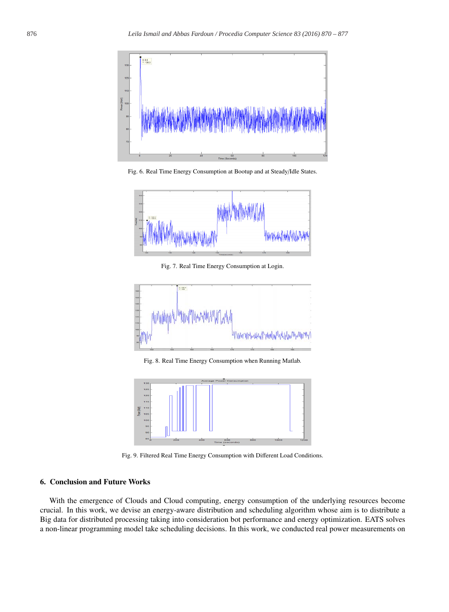

Fig. 6. Real Time Energy Consumption at Bootup and at Steady/Idle States.



Fig. 7. Real Time Energy Consumption at Login.



Fig. 8. Real Time Energy Consumption when Running Matlab.



Fig. 9. Filtered Real Time Energy Consumption with Different Load Conditions.

## 6. Conclusion and Future Works

With the emergence of Clouds and Cloud computing, energy consumption of the underlying resources become crucial. In this work, we devise an energy-aware distribution and scheduling algorithm whose aim is to distribute a Big data for distributed processing taking into consideration bot performance and energy optimization. EATS solves a non-linear programming model take scheduling decisions. In this work, we conducted real power measurements on